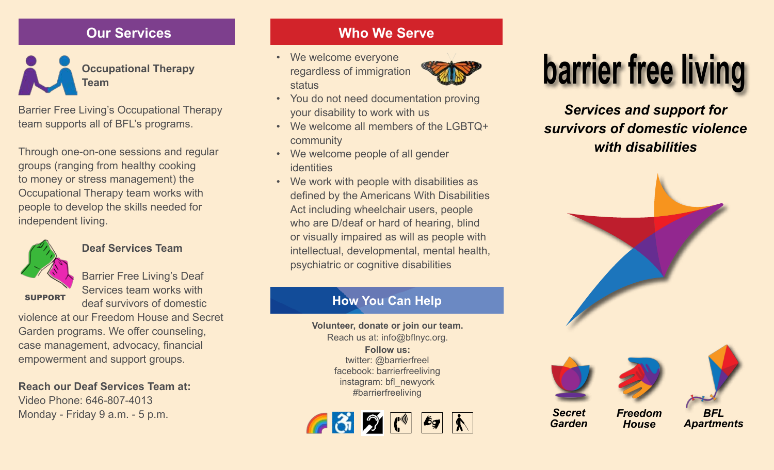# **Our Services**

**Team**

Barrier Free Living's Occupational Therapy team supports all of BFL's programs.

Through one-on-one sessions and regular groups (ranging from healthy cooking to money or stress management) the Occupational Therapy team works with people to develop the skills needed for independent living.



SUPPORT

### **Deaf Services Team**

Barrier Free Living's Deaf Services team works with deaf survivors of domestic

violence at our Freedom House and Secret Garden programs. We offer counseling, case management, advocacy, financial empowerment and support groups.

**Reach our Deaf Services Team at:** Video Phone: 646-807-4013

# **Who We Serve**

• We welcome everyone regardless of immigration status



- You do not need documentation proving your disability to work with us
- We welcome all members of the LGBTQ+ community
- We welcome people of all gender identities
- We work with people with disabilities as defined by the Americans With Disabilities Act including wheelchair users, people who are D/deaf or hard of hearing, blind or visually impaired as will as people with intellectual, developmental, mental health, psychiatric or cognitive disabilities

# **How You Can Help**

**Volunteer, donate or join our team.** Reach us at: info@bflnyc.org. **Follow us:**  twitter: @barrierfreel facebook: barrierfreeliving instagram: bfl\_newyork #barrierfreeliving



# **barrier free living**<br>Team status sof immigration<br>Team status

*Services and support for survivors of domestic violence with disabilities* 



*House*

*Garden* 

*Apartments*